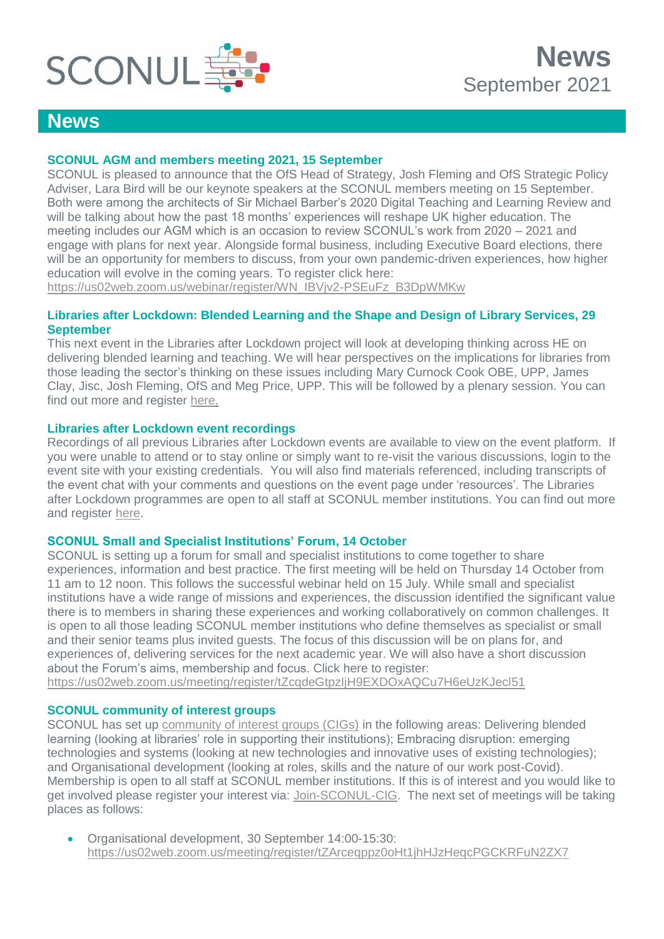

# **News**

# **SCONUL AGM and members meeting 2021, 15 September**

SCONUL is pleased to announce that the OfS Head of Strategy, Josh Fleming and OfS Strategic Policy Adviser, Lara Bird will be our keynote speakers at the SCONUL members meeting on 15 September. Both were among the architects of Sir Michael Barber's 2020 Digital Teaching and Learning Review and will be talking about how the past 18 months' experiences will reshape UK higher education. The meeting includes our AGM which is an occasion to review SCONUL's work from 2020 – 2021 and engage with plans for next year. Alongside formal business, including Executive Board elections, there will be an opportunity for members to discuss, from your own pandemic-driven experiences, how higher education will evolve in the coming years. To register click here:

[https://us02web.zoom.us/webinar/register/WN\\_IBVjv2-PSEuFz\\_B3DpWMKw](https://protect-eu.mimecast.com/s/8GBoCyrNpcyDpFZMBSF?domain=us02web.zoom.us)

### **Libraries after Lockdown: Blended Learning and the Shape and Design of Library Services, 29 September**

This next event in the Libraries after Lockdown project will look at developing thinking across HE on delivering blended learning and teaching. We will hear perspectives on the implications for libraries from those leading the sector's thinking on these issues including Mary Curnock Cook OBE, UPP, James Clay, Jisc, Josh Fleming, OfS and Meg Price, UPP. This will be followed by a plenary session. You can find out more and register [here.](https://www.sconul.ac.uk/page/from-adaptive-practice-to-service-redesign#events)

### **Libraries after Lockdown event recordings**

Recordings of all previous Libraries after Lockdown events are available to view on the event platform. If you were unable to attend or to stay online or simply want to re-visit the various discussions, login to the event site with your existing credentials. You will also find materials referenced, including transcripts of the event chat with your comments and questions on the event page under 'resources'. The Libraries after Lockdown programmes are open to all staff at SCONUL member institutions. You can find out more and register [here.](https://www.sconul.ac.uk/page/libraries-after-lockdown-a-virtual-collaboration)

### **SCONUL Small and Specialist Institutions' Forum, 14 October**

SCONUL is setting up a forum for small and specialist institutions to come together to share experiences, information and best practice. The first meeting will be held on Thursday 14 October from 11 am to 12 noon. This follows the successful webinar held on 15 July. While small and specialist institutions have a wide range of missions and experiences, the discussion identified the significant value there is to members in sharing these experiences and working collaboratively on common challenges. It is open to all those leading SCONUL member institutions who define themselves as specialist or small and their senior teams plus invited guests. The focus of this discussion will be on plans for, and experiences of, delivering services for the next academic year. We will also have a short discussion about the Forum's aims, membership and focus. Click here to register:

<https://us02web.zoom.us/meeting/register/tZcqdeGtpzIjH9EXDOxAQCu7H6eUzKJecl51>

### **SCONUL community of interest groups**

SCONUL has set up [community of interest groups \(CIGs\)](https://www.sconul.ac.uk/page/community-of-interest-groups) in the following areas: Delivering blended learning (looking at libraries' role in supporting their institutions); Embracing disruption: emerging technologies and systems (looking at new technologies and innovative uses of existing technologies); and Organisational development (looking at roles, skills and the nature of our work post-Covid). Membership is open to all staff at SCONUL member institutions. If this is of interest and you would like to get involved please register your interest via: [Join](https://forms.gle/gG2LjAHyjGYBqkyd7)[-SCONUL-CIG.](https://docs.google.com/forms/d/e/1FAIpQLSe9aL4qq66xEbcSCvSURyquv3e7kn1XqtQ8Y_XvVf-c459UCw/viewform) The next set of meetings will be taking places as follows:

 Organisational development, 30 September 14:00-15:30: <https://us02web.zoom.us/meeting/register/tZArceqppz0oHt1jhHJzHeqcPGCKRFuN2ZX7>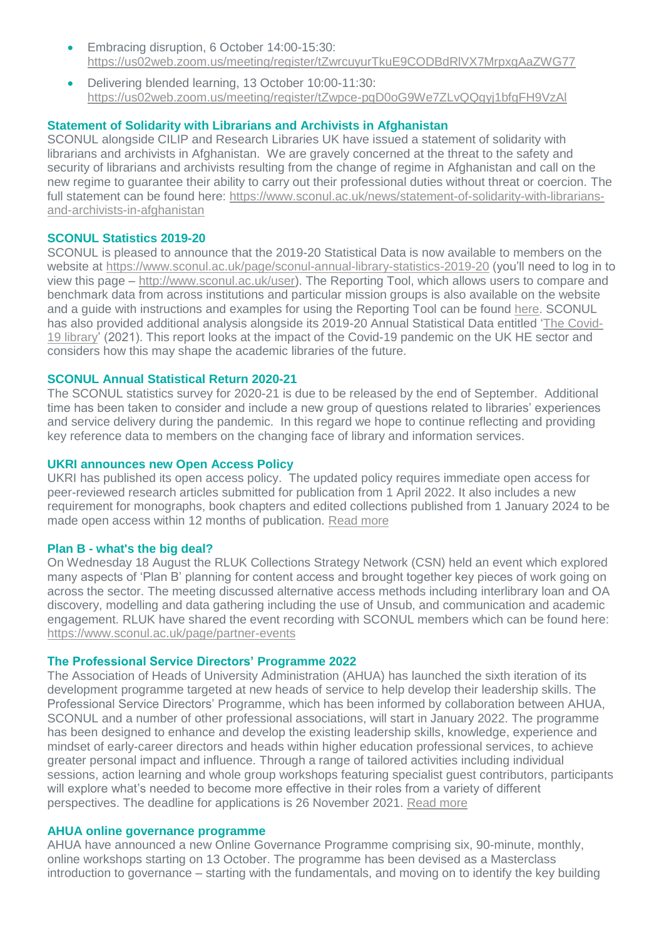- Embracing disruption, 6 October 14:00-15:30: <https://us02web.zoom.us/meeting/register/tZwrcuyurTkuE9CODBdRlVX7MrpxgAaZWG77>
- Delivering blended learning, 13 October 10:00-11:30: <https://us02web.zoom.us/meeting/register/tZwpce-pqD0oG9We7ZLvQQgyj1bfgFH9VzAl>

# **Statement of Solidarity with Librarians and Archivists in Afghanistan**

SCONUL alongside CILIP and Research Libraries UK have issued a statement of solidarity with librarians and archivists in Afghanistan. We are gravely concerned at the threat to the safety and security of librarians and archivists resulting from the change of regime in Afghanistan and call on the new regime to guarantee their ability to carry out their professional duties without threat or coercion. The full statement can be found here: [https://www.sconul.ac.uk/news/statement-of-solidarity-with-librarians](https://www.sconul.ac.uk/news/statement-of-solidarity-with-librarians-and-archivists-in-afghanistan)[and-archivists-in-afghanistan](https://www.sconul.ac.uk/news/statement-of-solidarity-with-librarians-and-archivists-in-afghanistan)

### **SCONUL Statistics 2019-20**

SCONUL is pleased to announce that the 2019-20 Statistical Data is now available to members on the website at<https://www.sconul.ac.uk/page/sconul-annual-library-statistics-2019-20> (you'll need to log in to view this page – [http://www.sconul.ac.uk/user\)](http://www.sconul.ac.uk/user). The Reporting Tool, which allows users to compare and benchmark data from across institutions and particular mission groups is also available on the website and a guide with instructions and examples for using the Reporting Tool can be found [here.](https://www.sconul.ac.uk/page/statistics-reporting-tool) SCONUL has also provided additional analysis alongside its 2019-20 Annual Statistical Data entitled ['The Covid-](https://www.sconul.ac.uk/sites/default/files/documents/2021_Spotlight_the%20Covid-19_library.pdfhttps:/submit.jotformeu.com/submit/212132706167348/)[19 library'](https://www.sconul.ac.uk/sites/default/files/documents/2021_Spotlight_the%20Covid-19_library.pdfhttps:/submit.jotformeu.com/submit/212132706167348/) (2021). This report looks at the impact of the Covid-19 pandemic on the UK HE sector and considers how this may shape the academic libraries of the future.

#### **SCONUL Annual Statistical Return 2020-21**

The SCONUL statistics survey for 2020-21 is due to be released by the end of September. Additional time has been taken to consider and include a new group of questions related to libraries' experiences and service delivery during the pandemic. In this regard we hope to continue reflecting and providing key reference data to members on the changing face of library and information services.

#### **UKRI announces new Open Access Policy**

UKRI has published its open access policy. The updated policy requires immediate open access for peer-reviewed research articles submitted for publication from 1 April 2022. It also includes a new requirement for monographs, book chapters and edited collections published from 1 January 2024 to be made open access within 12 months of publication. [Read more](https://www.ukri.org/news/ukri-announces-new-open-access-policy/)

#### **Plan B - what's the big deal?**

On Wednesday 18 August the RLUK Collections Strategy Network (CSN) held an event which explored many aspects of 'Plan B' planning for content access and brought together key pieces of work going on across the sector. The meeting discussed alternative access methods including interlibrary loan and OA discovery, modelling and data gathering including the use of Unsub, and communication and academic engagement. RLUK have shared the event recording with SCONUL members which can be found here: <https://www.sconul.ac.uk/page/partner-events>

#### **The Professional Service Directors' Programme 2022**

The Association of Heads of University Administration (AHUA) has launched the sixth iteration of its development programme targeted at new heads of service to help develop their leadership skills. The Professional Service Directors' Programme, which has been informed by collaboration between AHUA, SCONUL and a number of other professional associations, will start in January 2022. The programme has been designed to enhance and develop the existing leadership skills, knowledge, experience and mindset of early-career directors and heads within higher education professional services, to achieve greater personal impact and influence. Through a range of tailored activities including individual sessions, action learning and whole group workshops featuring specialist quest contributors, participants will explore what's needed to become more effective in their roles from a variety of different perspectives. The deadline for applications is 26 November 2021. [Read more](https://www.sconul.ac.uk/news/open-for-applications-professional-service-directors%E2%80%99-programme-2022)

#### **AHUA online governance programme**

AHUA have announced a new Online Governance Programme comprising six, 90-minute, monthly, online workshops starting on 13 October. The programme has been devised as a Masterclass introduction to governance – starting with the fundamentals, and moving on to identify the key building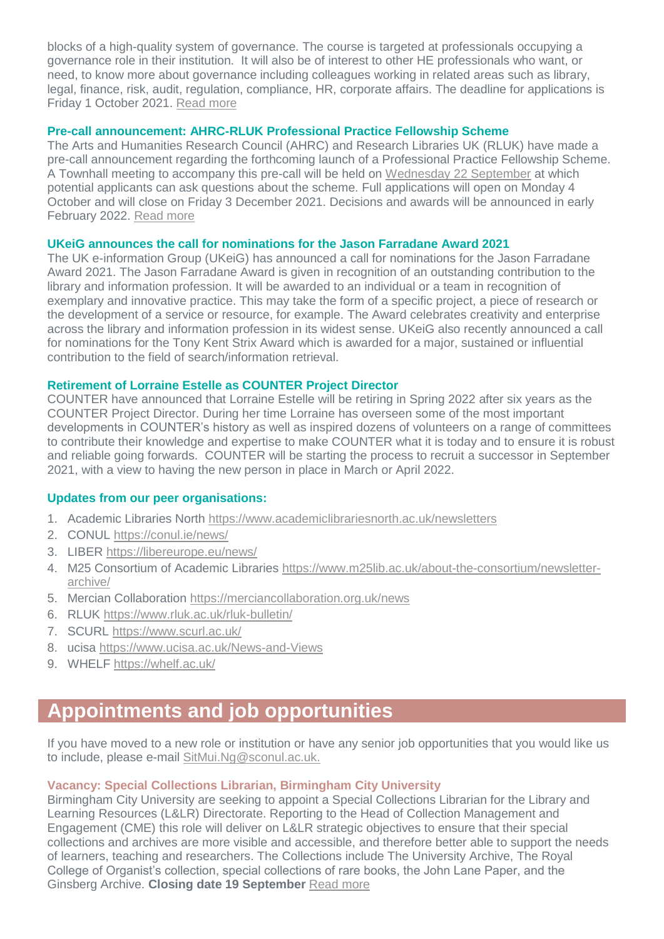blocks of a high-quality system of governance. The course is targeted at professionals occupying a governance role in their institution. It will also be of interest to other HE professionals who want, or need, to know more about governance including colleagues working in related areas such as library, legal, finance, risk, audit, regulation, compliance, HR, corporate affairs. The deadline for applications is Friday 1 October 2021. [Read more](https://www.ahua.ac.uk/resources/online-governance-programme/)

### **Pre-call announcement: AHRC-RLUK Professional Practice Fellowship Scheme**

The Arts and Humanities Research Council (AHRC) and Research Libraries UK (RLUK) have made a pre-call announcement regarding the forthcoming launch of a Professional Practice Fellowship Scheme. A Townhall meeting to accompany this pre-call will be held on [Wednesday 22 September](https://www.eventbrite.co.uk/e/townhall-meeting-ahrc-rluk-professional-practice-fellowship-scheme-tickets-168249034391) at which potential applicants can ask questions about the scheme. Full applications will open on Monday 4 October and will close on Friday 3 December 2021. Decisions and awards will be announced in early February 2022. [Read more](https://www.rluk.ac.uk/ahrc-rluk-professional-practice-fellowships-pre-call-information/)

# **UKeiG announces the call for nominations for the Jason Farradane Award 2021**

The UK e-information Group (UKeiG) has announced a call for nominations for the Jason Farradane Award 2021. The Jason Farradane Award is given in recognition of an outstanding contribution to the library and information profession. It will be awarded to an individual or a team in recognition of exemplary and innovative practice. This may take the form of a specific project, a piece of research or the development of a service or resource, for example. The Award celebrates creativity and enterprise across the library and information profession in its widest sense. UKeiG also recently announced a call for nominations for the Tony Kent Strix Award which is awarded for a major, sustained or influential contribution to the field of search/information retrieval.

# **Retirement of Lorraine Estelle as COUNTER Project Director**

COUNTER have announced that Lorraine Estelle will be retiring in Spring 2022 after six years as the COUNTER Project Director. During her time Lorraine has overseen some of the most important developments in COUNTER's history as well as inspired dozens of volunteers on a range of committees to contribute their knowledge and expertise to make COUNTER what it is today and to ensure it is robust and reliable going forwards. COUNTER will be starting the process to recruit a successor in September 2021, with a view to having the new person in place in March or April 2022.

# **Updates from our peer organisations:**

- 1. Academic Libraries North<https://www.academiclibrariesnorth.ac.uk/newsletters>
- 2. CONUL [https://conul.ie/news/](https://protect-eu.mimecast.com/s/LJYtC4RZWsJWAUOLjW-?domain=conul.ie/)
- 3. LIBER<https://libereurope.eu/news/>
- 4. M25 Consortium of Academic Libraries [https://www.m25lib.ac.uk/about-the-consortium/newsletter](https://www.m25lib.ac.uk/about-the-consortium/newsletter-archive/)[archive/](https://www.m25lib.ac.uk/about-the-consortium/newsletter-archive/)
- 5. Mercian Collaboration <https://merciancollaboration.org.uk/news>
- 6. RLUK<https://www.rluk.ac.uk/rluk-bulletin/>
- 7. SCURL<https://www.scurl.ac.uk/>
- 8. ucisa<https://www.ucisa.ac.uk/News-and-Views>
- 9. WHELF <https://whelf.ac.uk/>

# **Appointments and job opportunities**

If you have moved to a new role or institution or have any senior job opportunities that you would like us to include, please e-mail [SitMui.Ng@sconul.ac.uk.](mailto:SitMui.Ng@sconul.ac.uk)

# **Vacancy: Special Collections Librarian, Birmingham City University**

Birmingham City University are seeking to appoint a Special Collections Librarian for the Library and Learning Resources (L&LR) Directorate. Reporting to the Head of Collection Management and Engagement (CME) this role will deliver on L&LR strategic objectives to ensure that their special collections and archives are more visible and accessible, and therefore better able to support the needs of learners, teaching and researchers. The Collections include The University Archive, The Royal College of Organist's collection, special collections of rare books, the John Lane Paper, and the Ginsberg Archive. **Closing date 19 September** [Read more](https://jobs.bcu.ac.uk/vacancy.aspx?ref=082021-376)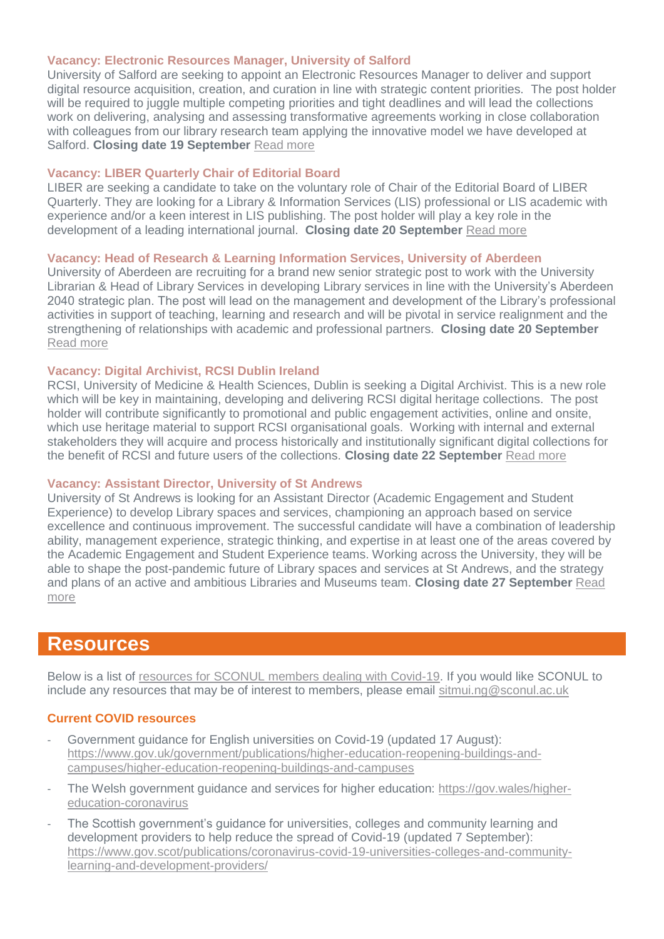#### **Vacancy: Electronic Resources Manager, University of Salford**

University of Salford are seeking to appoint an Electronic Resources Manager to deliver and support digital resource acquisition, creation, and curation in line with strategic content priorities. The post holder will be required to juggle multiple competing priorities and tight deadlines and will lead the collections work on delivering, analysing and assessing transformative agreements working in close collaboration with colleagues from our library research team applying the innovative model we have developed at Salford. **Closing date 19 September** [Read more](https://universityofsalford.tal.net/vx/lang-en-GB/mobile-0/appcentre-1/brand-4/xf-82539b7d9306/candidate/so/pm/1/pl/3/opp/148-Electronic-Resources-Manager/en-GB)

#### **Vacancy: LIBER Quarterly Chair of Editorial Board**

LIBER are seeking a candidate to take on the voluntary role of Chair of the Editorial Board of LIBER Quarterly. They are looking for a Library & Information Services (LIS) professional or LIS academic with experience and/or a keen interest in LIS publishing. The post holder will play a key role in the development of a leading international journal. **Closing date 20 September** [Read more](https://libereurope.eu/article/vacancy-liber-quarterly-chair-of-editorial-board/)

#### **Vacancy: Head of Research & Learning Information Services, University of Aberdeen**

University of Aberdeen are recruiting for a brand new senior strategic post to work with the University Librarian & Head of Library Services in developing Library services in line with the University's Aberdeen 2040 strategic plan. The post will lead on the management and development of the Library's professional activities in support of teaching, learning and research and will be pivotal in service realignment and the strengthening of relationships with academic and professional partners. **Closing date 20 September** [Read more](https://www.abdnjobs.co.uk/vacancy/head-of-research-learning-information-services-455326.html)

#### **Vacancy: Digital Archivist, RCSI Dublin Ireland**

RCSI, University of Medicine & Health Sciences, Dublin is seeking a Digital Archivist. This is a new role which will be key in maintaining, developing and delivering RCSI digital heritage collections. The post holder will contribute significantly to promotional and public engagement activities, online and onsite, which use heritage material to support RCSI organisational goals. Working with internal and external stakeholders they will acquire and process historically and institutionally significant digital collections for the benefit of RCSI and future users of the collections. **Closing date 22 September** [Read more](https://my.corehr.com/pls/coreportal_rcsip/erq_jobspec_details_form.jobspec?p_id=028172)

#### **Vacancy: Assistant Director, University of St Andrews**

University of St Andrews is looking for an Assistant Director (Academic Engagement and Student Experience) to develop Library spaces and services, championing an approach based on service excellence and continuous improvement. The successful candidate will have a combination of leadership ability, management experience, strategic thinking, and expertise in at least one of the areas covered by the Academic Engagement and Student Experience teams. Working across the University, they will be able to shape the post-pandemic future of Library spaces and services at St Andrews, and the strategy and plans of an active and ambitious Libraries and Museums team. **Closing date 27 September** [Read](https://www.vacancies.st-andrews.ac.uk/Vacancies/W/6073/0/311509/889/assistant-director-academic-engagement-and-student-experience-ad4379mr)  [more](https://www.vacancies.st-andrews.ac.uk/Vacancies/W/6073/0/311509/889/assistant-director-academic-engagement-and-student-experience-ad4379mr)

# **Resources**

Below is a list of [resources for SCONUL members dealing with Covid-19.](https://www.sconul.ac.uk/page/resources-for-sconul-members-dealing-with-covid-19) If you would like SCONUL to include any resources that may be of interest to members, please email [sitmui.ng@sconul.ac.uk](mailto:sitmui.ng@sconul.ac.uk)

#### **Current COVID resources**

- Government guidance for English universities on Covid-19 (updated 17 August): [https://www.gov.uk/government/publications/higher-education-reopening-buildings-and](https://www.gov.uk/government/publications/higher-education-reopening-buildings-and-campuses/higher-education-reopening-buildings-and-campuses)[campuses/higher-education-reopening-buildings-and-campuses](https://www.gov.uk/government/publications/higher-education-reopening-buildings-and-campuses/higher-education-reopening-buildings-and-campuses)
- The Welsh government guidance and services for higher education: https://gov.wales/highereducation-coronavirus
- The Scottish government's guidance for universities, colleges and community learning and development providers to help reduce the spread of Covid-19 (updated 7 September): [https://www.gov.scot/publications/coronavirus-covid-19-universities-colleges-and-community](https://www.gov.scot/publications/coronavirus-covid-19-universities-colleges-and-community-learning-and-development-providers/)[learning-and-development-providers/](https://www.gov.scot/publications/coronavirus-covid-19-universities-colleges-and-community-learning-and-development-providers/)